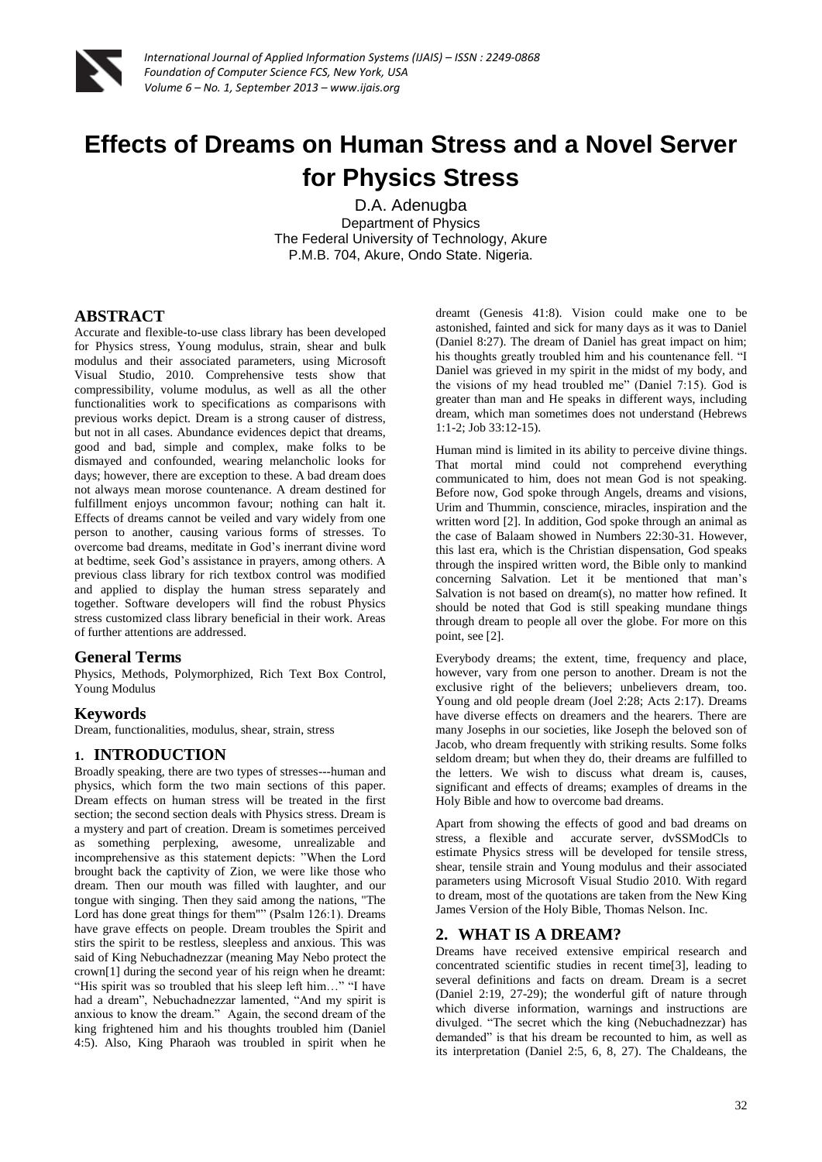

*International Journal of Applied Information Systems (IJAIS) – ISSN : 2249-0868 Foundation of Computer Science FCS, New York, USA Volume 6 – No. 1, September 2013 – www.ijais.org*

# **Effects of Dreams on Human Stress and a Novel Server for Physics Stress**

D.A. Adenugba Department of Physics The Federal University of Technology, Akure P.M.B. 704, Akure, Ondo State. Nigeria.

## **ABSTRACT**

Accurate and flexible-to-use class library has been developed for Physics stress, Young modulus, strain, shear and bulk modulus and their associated parameters, using Microsoft Visual Studio, 2010. Comprehensive tests show that compressibility, volume modulus, as well as all the other functionalities work to specifications as comparisons with previous works depict. Dream is a strong causer of distress, but not in all cases. Abundance evidences depict that dreams, good and bad, simple and complex, make folks to be dismayed and confounded, wearing melancholic looks for days; however, there are exception to these. A bad dream does not always mean morose countenance. A dream destined for fulfillment enjoys uncommon favour; nothing can halt it. Effects of dreams cannot be veiled and vary widely from one person to another, causing various forms of stresses. To overcome bad dreams, meditate in God's inerrant divine word at bedtime, seek God's assistance in prayers, among others. A previous class library for rich textbox control was modified and applied to display the human stress separately and together. Software developers will find the robust Physics stress customized class library beneficial in their work. Areas of further attentions are addressed.

#### **General Terms**

Physics, Methods, Polymorphized, Rich Text Box Control, Young Modulus

## **Keywords**

Dream, functionalities, modulus, shear, strain, stress

## **1. INTRODUCTION**

Broadly speaking, there are two types of stresses---human and physics, which form the two main sections of this paper. Dream effects on human stress will be treated in the first section; the second section deals with Physics stress. Dream is a mystery and part of creation. Dream is sometimes perceived as something perplexing, awesome, unrealizable and incomprehensive as this statement depicts: "When the Lord brought back the captivity of Zion, we were like those who dream. Then our mouth was filled with laughter, and our tongue with singing. Then they said among the nations, "The Lord has done great things for them"" (Psalm 126:1). Dreams have grave effects on people. Dream troubles the Spirit and stirs the spirit to be restless, sleepless and anxious. This was said of King Nebuchadnezzar (meaning May Nebo protect the crown[1] during the second year of his reign when he dreamt: "His spirit was so troubled that his sleep left him…" "I have had a dream", Nebuchadnezzar lamented, "And my spirit is anxious to know the dream." Again, the second dream of the king frightened him and his thoughts troubled him (Daniel 4:5). Also, King Pharaoh was troubled in spirit when he

dreamt (Genesis 41:8). Vision could make one to be astonished, fainted and sick for many days as it was to Daniel (Daniel 8:27). The dream of Daniel has great impact on him; his thoughts greatly troubled him and his countenance fell. "I Daniel was grieved in my spirit in the midst of my body, and the visions of my head troubled me" (Daniel 7:15). God is greater than man and He speaks in different ways, including dream, which man sometimes does not understand (Hebrews 1:1-2; Job 33:12-15).

Human mind is limited in its ability to perceive divine things. That mortal mind could not comprehend everything communicated to him, does not mean God is not speaking. Before now, God spoke through Angels, dreams and visions, Urim and Thummin, conscience, miracles, inspiration and the written word [2]. In addition, God spoke through an animal as the case of Balaam showed in Numbers 22:30-31. However, this last era, which is the Christian dispensation, God speaks through the inspired written word, the Bible only to mankind concerning Salvation. Let it be mentioned that man's Salvation is not based on dream(s), no matter how refined. It should be noted that God is still speaking mundane things through dream to people all over the globe. For more on this point, see [2].

Everybody dreams; the extent, time, frequency and place, however, vary from one person to another. Dream is not the exclusive right of the believers; unbelievers dream, too. Young and old people dream (Joel 2:28; Acts 2:17). Dreams have diverse effects on dreamers and the hearers. There are many Josephs in our societies, like Joseph the beloved son of Jacob, who dream frequently with striking results. Some folks seldom dream; but when they do, their dreams are fulfilled to the letters. We wish to discuss what dream is, causes, significant and effects of dreams; examples of dreams in the Holy Bible and how to overcome bad dreams.

Apart from showing the effects of good and bad dreams on stress, a flexible and accurate server, dvSSModCls to estimate Physics stress will be developed for tensile stress, shear, tensile strain and Young modulus and their associated parameters using Microsoft Visual Studio 2010. With regard to dream, most of the quotations are taken from the New King James Version of the Holy Bible, Thomas Nelson. Inc.

## **2. WHAT IS A DREAM?**

Dreams have received extensive empirical research and concentrated scientific studies in recent time[3], leading to several definitions and facts on dream. Dream is a secret (Daniel 2:19, 27-29); the wonderful gift of nature through which diverse information, warnings and instructions are divulged. "The secret which the king (Nebuchadnezzar) has demanded" is that his dream be recounted to him, as well as its interpretation (Daniel 2:5, 6, 8, 27). The Chaldeans, the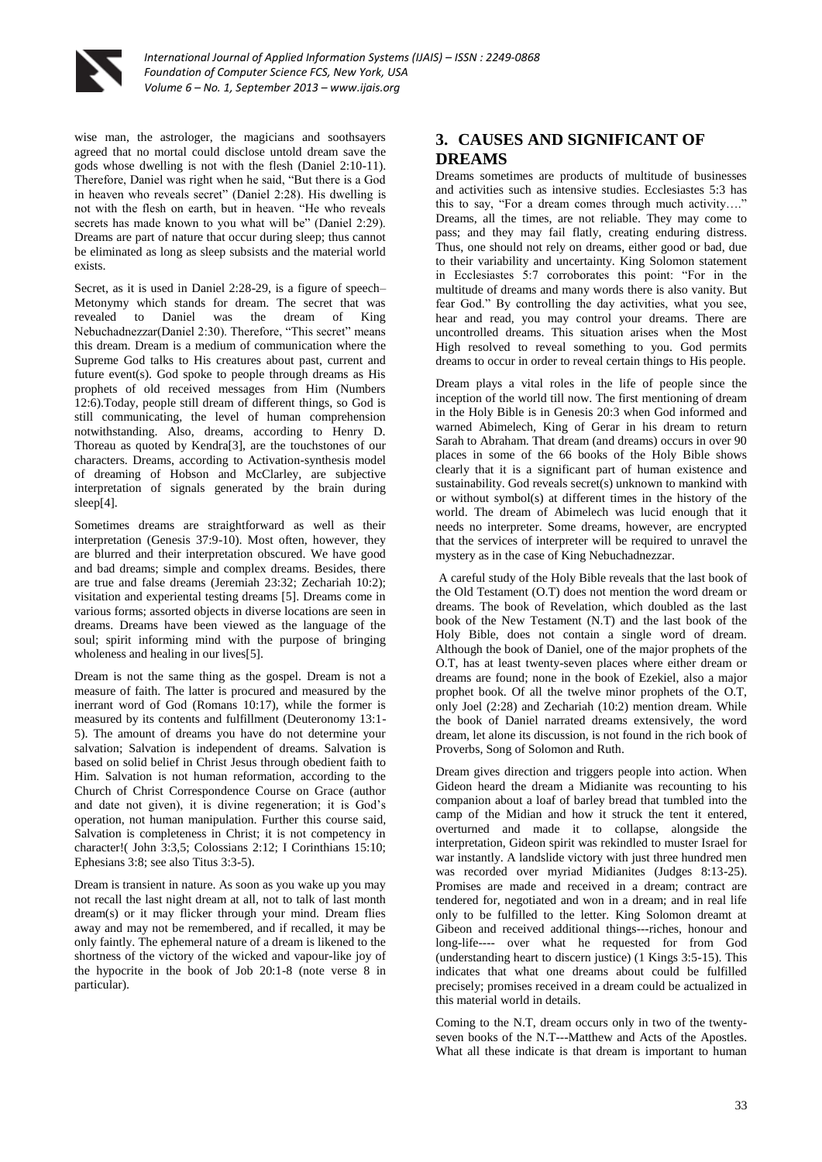

wise man, the astrologer, the magicians and soothsayers agreed that no mortal could disclose untold dream save the gods whose dwelling is not with the flesh (Daniel 2:10-11). Therefore, Daniel was right when he said, "But there is a God in heaven who reveals secret" (Daniel 2:28). His dwelling is not with the flesh on earth, but in heaven. "He who reveals secrets has made known to you what will be" (Daniel 2:29). Dreams are part of nature that occur during sleep; thus cannot be eliminated as long as sleep subsists and the material world exists.

Secret, as it is used in Daniel 2:28-29, is a figure of speech– Metonymy which stands for dream. The secret that was revealed to Daniel was the dream of King Nebuchadnezzar(Daniel 2:30). Therefore, "This secret" means this dream. Dream is a medium of communication where the Supreme God talks to His creatures about past, current and future event(s). God spoke to people through dreams as His prophets of old received messages from Him (Numbers 12:6).Today, people still dream of different things, so God is still communicating, the level of human comprehension notwithstanding. Also, dreams, according to Henry D. Thoreau as quoted by Kendra[3], are the touchstones of our characters. Dreams, according to Activation-synthesis model of dreaming of Hobson and McClarley, are subjective interpretation of signals generated by the brain during sleep[4].

Sometimes dreams are straightforward as well as their interpretation (Genesis 37:9-10). Most often, however, they are blurred and their interpretation obscured. We have good and bad dreams; simple and complex dreams. Besides, there are true and false dreams (Jeremiah 23:32; Zechariah 10:2); visitation and experiental testing dreams [5]. Dreams come in various forms; assorted objects in diverse locations are seen in dreams. Dreams have been viewed as the language of the soul; spirit informing mind with the purpose of bringing wholeness and healing in our lives[5].

Dream is not the same thing as the gospel. Dream is not a measure of faith. The latter is procured and measured by the inerrant word of God (Romans 10:17), while the former is measured by its contents and fulfillment (Deuteronomy 13:1- 5). The amount of dreams you have do not determine your salvation; Salvation is independent of dreams. Salvation is based on solid belief in Christ Jesus through obedient faith to Him. Salvation is not human reformation, according to the Church of Christ Correspondence Course on Grace (author and date not given), it is divine regeneration; it is God's operation, not human manipulation. Further this course said, Salvation is completeness in Christ; it is not competency in character!( John 3:3,5; Colossians 2:12; I Corinthians 15:10; Ephesians 3:8; see also Titus 3:3-5).

Dream is transient in nature. As soon as you wake up you may not recall the last night dream at all, not to talk of last month dream(s) or it may flicker through your mind. Dream flies away and may not be remembered, and if recalled, it may be only faintly. The ephemeral nature of a dream is likened to the shortness of the victory of the wicked and vapour-like joy of the hypocrite in the book of Job 20:1-8 (note verse 8 in particular).

# **3. CAUSES AND SIGNIFICANT OF DREAMS**

Dreams sometimes are products of multitude of businesses and activities such as intensive studies. Ecclesiastes 5:3 has this to say, "For a dream comes through much activity…." Dreams, all the times, are not reliable. They may come to pass; and they may fail flatly, creating enduring distress. Thus, one should not rely on dreams, either good or bad, due to their variability and uncertainty. King Solomon statement in Ecclesiastes 5:7 corroborates this point: "For in the multitude of dreams and many words there is also vanity. But fear God." By controlling the day activities, what you see, hear and read, you may control your dreams. There are uncontrolled dreams. This situation arises when the Most High resolved to reveal something to you. God permits dreams to occur in order to reveal certain things to His people.

Dream plays a vital roles in the life of people since the inception of the world till now. The first mentioning of dream in the Holy Bible is in Genesis 20:3 when God informed and warned Abimelech, King of Gerar in his dream to return Sarah to Abraham. That dream (and dreams) occurs in over 90 places in some of the 66 books of the Holy Bible shows clearly that it is a significant part of human existence and sustainability. God reveals secret(s) unknown to mankind with or without symbol(s) at different times in the history of the world. The dream of Abimelech was lucid enough that it needs no interpreter. Some dreams, however, are encrypted that the services of interpreter will be required to unravel the mystery as in the case of King Nebuchadnezzar.

A careful study of the Holy Bible reveals that the last book of the Old Testament (O.T) does not mention the word dream or dreams. The book of Revelation, which doubled as the last book of the New Testament (N.T) and the last book of the Holy Bible, does not contain a single word of dream. Although the book of Daniel, one of the major prophets of the O.T, has at least twenty-seven places where either dream or dreams are found; none in the book of Ezekiel, also a major prophet book. Of all the twelve minor prophets of the O.T, only Joel (2:28) and Zechariah (10:2) mention dream. While the book of Daniel narrated dreams extensively, the word dream, let alone its discussion, is not found in the rich book of Proverbs, Song of Solomon and Ruth.

Dream gives direction and triggers people into action. When Gideon heard the dream a Midianite was recounting to his companion about a loaf of barley bread that tumbled into the camp of the Midian and how it struck the tent it entered, overturned and made it to collapse, alongside the interpretation, Gideon spirit was rekindled to muster Israel for war instantly. A landslide victory with just three hundred men was recorded over myriad Midianites (Judges 8:13-25). Promises are made and received in a dream; contract are tendered for, negotiated and won in a dream; and in real life only to be fulfilled to the letter. King Solomon dreamt at Gibeon and received additional things---riches, honour and long-life---- over what he requested for from God (understanding heart to discern justice) (1 Kings 3:5-15). This indicates that what one dreams about could be fulfilled precisely; promises received in a dream could be actualized in this material world in details.

Coming to the N.T, dream occurs only in two of the twentyseven books of the N.T---Matthew and Acts of the Apostles. What all these indicate is that dream is important to human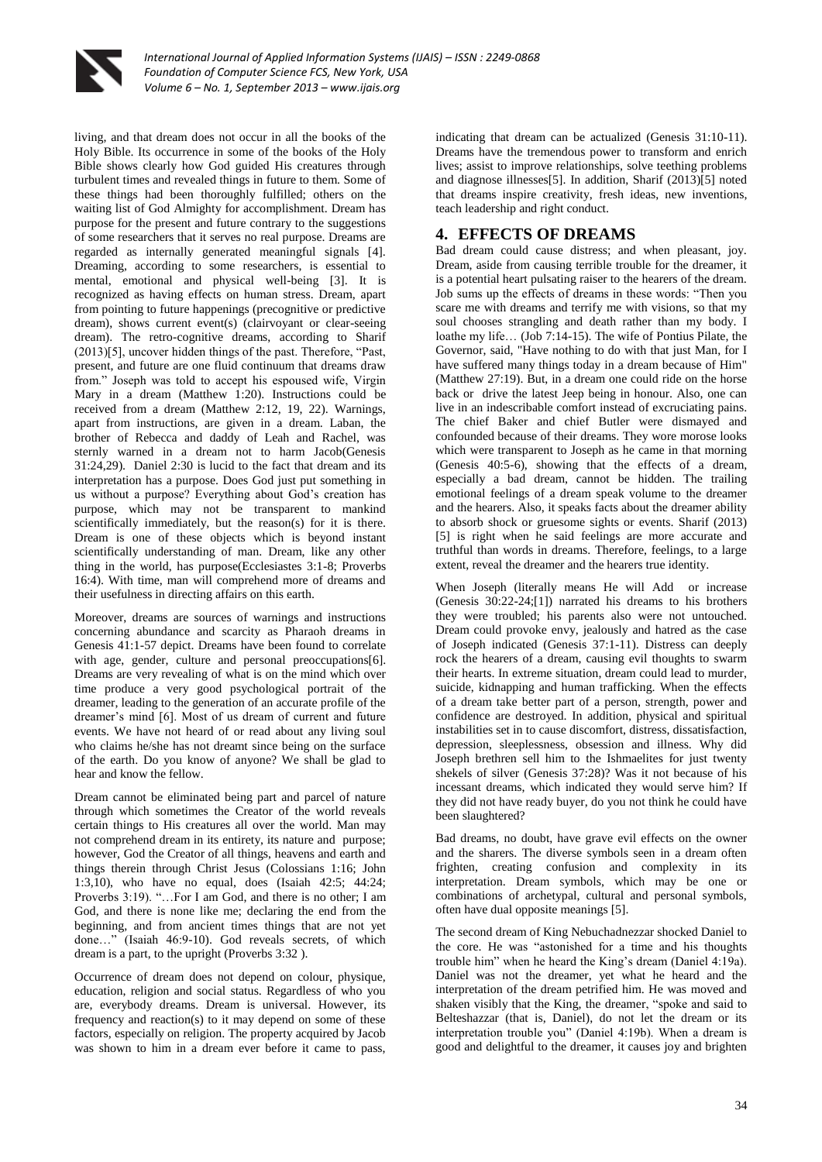

living, and that dream does not occur in all the books of the Holy Bible. Its occurrence in some of the books of the Holy Bible shows clearly how God guided His creatures through turbulent times and revealed things in future to them. Some of these things had been thoroughly fulfilled; others on the waiting list of God Almighty for accomplishment. Dream has purpose for the present and future contrary to the suggestions of some researchers that it serves no real purpose. Dreams are regarded as internally generated meaningful signals [4]. Dreaming, according to some researchers, is essential to mental, emotional and physical well-being [3]. It is recognized as having effects on human stress. Dream, apart from pointing to future happenings (precognitive or predictive dream), shows current event(s) (clairvoyant or clear-seeing dream). The retro-cognitive dreams, according to Sharif (2013)[5], uncover hidden things of the past. Therefore, "Past, present, and future are one fluid continuum that dreams draw from." Joseph was told to accept his espoused wife, Virgin Mary in a dream (Matthew 1:20). Instructions could be received from a dream (Matthew 2:12, 19, 22). Warnings, apart from instructions, are given in a dream. Laban, the brother of Rebecca and daddy of Leah and Rachel, was sternly warned in a dream not to harm Jacob(Genesis 31:24,29). Daniel 2:30 is lucid to the fact that dream and its interpretation has a purpose. Does God just put something in us without a purpose? Everything about God's creation has purpose, which may not be transparent to mankind scientifically immediately, but the reason(s) for it is there. Dream is one of these objects which is beyond instant scientifically understanding of man. Dream, like any other thing in the world, has purpose(Ecclesiastes 3:1-8; Proverbs 16:4). With time, man will comprehend more of dreams and their usefulness in directing affairs on this earth.

Moreover, dreams are sources of warnings and instructions concerning abundance and scarcity as Pharaoh dreams in Genesis 41:1-57 depict. Dreams have been found to correlate with age, gender, culture and personal preoccupations[6]. Dreams are very revealing of what is on the mind which over time produce a very good psychological portrait of the dreamer, leading to the generation of an accurate profile of the dreamer's mind [6]. Most of us dream of current and future events. We have not heard of or read about any living soul who claims he/she has not dreamt since being on the surface of the earth. Do you know of anyone? We shall be glad to hear and know the fellow.

Dream cannot be eliminated being part and parcel of nature through which sometimes the Creator of the world reveals certain things to His creatures all over the world. Man may not comprehend dream in its entirety, its nature and purpose; however, God the Creator of all things, heavens and earth and things therein through Christ Jesus (Colossians 1:16; John 1:3,10), who have no equal, does (Isaiah 42:5; 44:24; Proverbs 3:19). "…For I am God, and there is no other; I am God, and there is none like me; declaring the end from the beginning, and from ancient times things that are not yet done…" (Isaiah 46:9-10). God reveals secrets, of which dream is a part, to the upright (Proverbs 3:32 ).

Occurrence of dream does not depend on colour, physique, education, religion and social status. Regardless of who you are, everybody dreams. Dream is universal. However, its frequency and reaction(s) to it may depend on some of these factors, especially on religion. The property acquired by Jacob was shown to him in a dream ever before it came to pass,

indicating that dream can be actualized (Genesis 31:10-11). Dreams have the tremendous power to transform and enrich lives; assist to improve relationships, solve teething problems and diagnose illnesses[5]. In addition, Sharif (2013)[5] noted that dreams inspire creativity, fresh ideas, new inventions, teach leadership and right conduct.

# **4. EFFECTS OF DREAMS**

Bad dream could cause distress; and when pleasant, joy. Dream, aside from causing terrible trouble for the dreamer, it is a potential heart pulsating raiser to the hearers of the dream. Job sums up the effects of dreams in these words: "Then you scare me with dreams and terrify me with visions, so that my soul chooses strangling and death rather than my body. I loathe my life… (Job 7:14-15). The wife of Pontius Pilate, the Governor, said, "Have nothing to do with that just Man, for I have suffered many things today in a dream because of Him" (Matthew 27:19). But, in a dream one could ride on the horse back or drive the latest Jeep being in honour. Also, one can live in an indescribable comfort instead of excruciating pains. The chief Baker and chief Butler were dismayed and confounded because of their dreams. They wore morose looks which were transparent to Joseph as he came in that morning (Genesis 40:5-6), showing that the effects of a dream, especially a bad dream, cannot be hidden. The trailing emotional feelings of a dream speak volume to the dreamer and the hearers. Also, it speaks facts about the dreamer ability to absorb shock or gruesome sights or events. Sharif (2013) [5] is right when he said feelings are more accurate and truthful than words in dreams. Therefore, feelings, to a large extent, reveal the dreamer and the hearers true identity.

When Joseph (literally means He will Add or increase (Genesis 30:22-24;[1]) narrated his dreams to his brothers they were troubled; his parents also were not untouched. Dream could provoke envy, jealously and hatred as the case of Joseph indicated (Genesis 37:1-11). Distress can deeply rock the hearers of a dream, causing evil thoughts to swarm their hearts. In extreme situation, dream could lead to murder, suicide, kidnapping and human trafficking. When the effects of a dream take better part of a person, strength, power and confidence are destroyed. In addition, physical and spiritual instabilities set in to cause discomfort, distress, dissatisfaction, depression, sleeplessness, obsession and illness. Why did Joseph brethren sell him to the Ishmaelites for just twenty shekels of silver (Genesis 37:28)? Was it not because of his incessant dreams, which indicated they would serve him? If they did not have ready buyer, do you not think he could have been slaughtered?

Bad dreams, no doubt, have grave evil effects on the owner and the sharers. The diverse symbols seen in a dream often frighten, creating confusion and complexity in its interpretation. Dream symbols, which may be one or combinations of archetypal, cultural and personal symbols, often have dual opposite meanings [5].

The second dream of King Nebuchadnezzar shocked Daniel to the core. He was "astonished for a time and his thoughts trouble him" when he heard the King's dream (Daniel 4:19a). Daniel was not the dreamer, yet what he heard and the interpretation of the dream petrified him. He was moved and shaken visibly that the King, the dreamer, "spoke and said to Belteshazzar (that is, Daniel), do not let the dream or its interpretation trouble you" (Daniel 4:19b). When a dream is good and delightful to the dreamer, it causes joy and brighten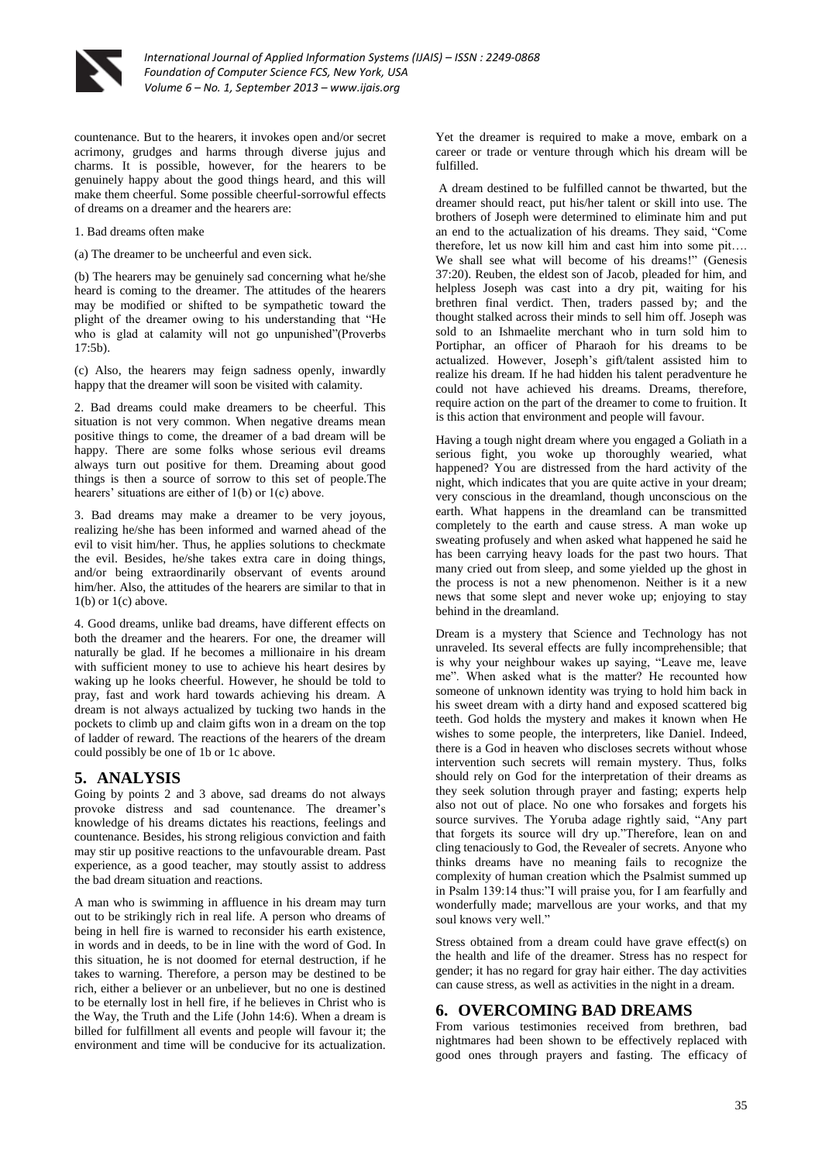

countenance. But to the hearers, it invokes open and/or secret acrimony, grudges and harms through diverse jujus and charms. It is possible, however, for the hearers to be genuinely happy about the good things heard, and this will make them cheerful. Some possible cheerful-sorrowful effects of dreams on a dreamer and the hearers are:

1. Bad dreams often make

(a) The dreamer to be uncheerful and even sick.

(b) The hearers may be genuinely sad concerning what he/she heard is coming to the dreamer. The attitudes of the hearers may be modified or shifted to be sympathetic toward the plight of the dreamer owing to his understanding that "He who is glad at calamity will not go unpunished"(Proverbs 17:5b).

(c) Also, the hearers may feign sadness openly, inwardly happy that the dreamer will soon be visited with calamity.

2. Bad dreams could make dreamers to be cheerful. This situation is not very common. When negative dreams mean positive things to come, the dreamer of a bad dream will be happy. There are some folks whose serious evil dreams always turn out positive for them. Dreaming about good things is then a source of sorrow to this set of people.The hearers' situations are either of 1(b) or 1(c) above.

3. Bad dreams may make a dreamer to be very joyous, realizing he/she has been informed and warned ahead of the evil to visit him/her. Thus, he applies solutions to checkmate the evil. Besides, he/she takes extra care in doing things, and/or being extraordinarily observant of events around him/her. Also, the attitudes of the hearers are similar to that in 1(b) or 1(c) above.

4. Good dreams, unlike bad dreams, have different effects on both the dreamer and the hearers. For one, the dreamer will naturally be glad. If he becomes a millionaire in his dream with sufficient money to use to achieve his heart desires by waking up he looks cheerful. However, he should be told to pray, fast and work hard towards achieving his dream. A dream is not always actualized by tucking two hands in the pockets to climb up and claim gifts won in a dream on the top of ladder of reward. The reactions of the hearers of the dream could possibly be one of 1b or 1c above.

## **5. ANALYSIS**

Going by points 2 and 3 above, sad dreams do not always provoke distress and sad countenance. The dreamer's knowledge of his dreams dictates his reactions, feelings and countenance. Besides, his strong religious conviction and faith may stir up positive reactions to the unfavourable dream. Past experience, as a good teacher, may stoutly assist to address the bad dream situation and reactions.

A man who is swimming in affluence in his dream may turn out to be strikingly rich in real life. A person who dreams of being in hell fire is warned to reconsider his earth existence, in words and in deeds, to be in line with the word of God. In this situation, he is not doomed for eternal destruction, if he takes to warning. Therefore, a person may be destined to be rich, either a believer or an unbeliever, but no one is destined to be eternally lost in hell fire, if he believes in Christ who is the Way, the Truth and the Life (John 14:6). When a dream is billed for fulfillment all events and people will favour it; the environment and time will be conducive for its actualization.

Yet the dreamer is required to make a move, embark on a career or trade or venture through which his dream will be fulfilled.

A dream destined to be fulfilled cannot be thwarted, but the dreamer should react, put his/her talent or skill into use. The brothers of Joseph were determined to eliminate him and put an end to the actualization of his dreams. They said, "Come therefore, let us now kill him and cast him into some pit…. We shall see what will become of his dreams!" (Genesis 37:20). Reuben, the eldest son of Jacob, pleaded for him, and helpless Joseph was cast into a dry pit, waiting for his brethren final verdict. Then, traders passed by; and the thought stalked across their minds to sell him off. Joseph was sold to an Ishmaelite merchant who in turn sold him to Portiphar, an officer of Pharaoh for his dreams to be actualized. However, Joseph's gift/talent assisted him to realize his dream. If he had hidden his talent peradventure he could not have achieved his dreams. Dreams, therefore, require action on the part of the dreamer to come to fruition. It is this action that environment and people will favour.

Having a tough night dream where you engaged a Goliath in a serious fight, you woke up thoroughly wearied, what happened? You are distressed from the hard activity of the night, which indicates that you are quite active in your dream; very conscious in the dreamland, though unconscious on the earth. What happens in the dreamland can be transmitted completely to the earth and cause stress. A man woke up sweating profusely and when asked what happened he said he has been carrying heavy loads for the past two hours. That many cried out from sleep, and some yielded up the ghost in the process is not a new phenomenon. Neither is it a new news that some slept and never woke up; enjoying to stay behind in the dreamland.

Dream is a mystery that Science and Technology has not unraveled. Its several effects are fully incomprehensible; that is why your neighbour wakes up saying, "Leave me, leave me". When asked what is the matter? He recounted how someone of unknown identity was trying to hold him back in his sweet dream with a dirty hand and exposed scattered big teeth. God holds the mystery and makes it known when He wishes to some people, the interpreters, like Daniel. Indeed, there is a God in heaven who discloses secrets without whose intervention such secrets will remain mystery. Thus, folks should rely on God for the interpretation of their dreams as they seek solution through prayer and fasting; experts help also not out of place. No one who forsakes and forgets his source survives. The Yoruba adage rightly said, "Any part that forgets its source will dry up."Therefore, lean on and cling tenaciously to God, the Revealer of secrets. Anyone who thinks dreams have no meaning fails to recognize the complexity of human creation which the Psalmist summed up in Psalm 139:14 thus:"I will praise you, for I am fearfully and wonderfully made; marvellous are your works, and that my soul knows very well."

Stress obtained from a dream could have grave effect(s) on the health and life of the dreamer. Stress has no respect for gender; it has no regard for gray hair either. The day activities can cause stress, as well as activities in the night in a dream.

## **6. OVERCOMING BAD DREAMS**

From various testimonies received from brethren, bad nightmares had been shown to be effectively replaced with good ones through prayers and fasting. The efficacy of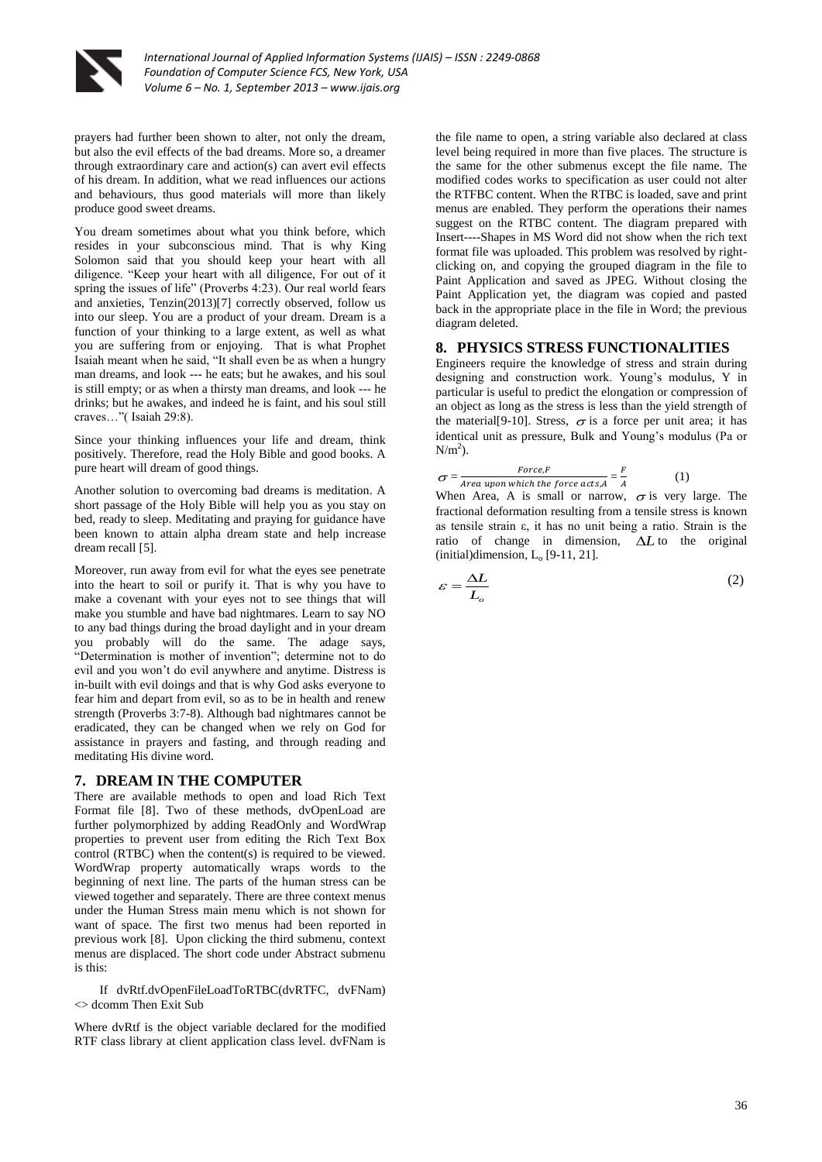

prayers had further been shown to alter, not only the dream, but also the evil effects of the bad dreams. More so, a dreamer through extraordinary care and action(s) can avert evil effects of his dream. In addition, what we read influences our actions and behaviours, thus good materials will more than likely produce good sweet dreams.

You dream sometimes about what you think before, which resides in your subconscious mind. That is why King Solomon said that you should keep your heart with all diligence. "Keep your heart with all diligence, For out of it spring the issues of life" (Proverbs 4:23). Our real world fears and anxieties, Tenzin(2013)[7] correctly observed, follow us into our sleep. You are a product of your dream. Dream is a function of your thinking to a large extent, as well as what you are suffering from or enjoying. That is what Prophet Isaiah meant when he said, "It shall even be as when a hungry man dreams, and look --- he eats; but he awakes, and his soul is still empty; or as when a thirsty man dreams, and look --- he drinks; but he awakes, and indeed he is faint, and his soul still craves…"( Isaiah 29:8).

Since your thinking influences your life and dream, think positively. Therefore, read the Holy Bible and good books. A pure heart will dream of good things.

Another solution to overcoming bad dreams is meditation. A short passage of the Holy Bible will help you as you stay on bed, ready to sleep. Meditating and praying for guidance have been known to attain alpha dream state and help increase dream recall [5].

Moreover, run away from evil for what the eyes see penetrate into the heart to soil or purify it. That is why you have to make a covenant with your eyes not to see things that will make you stumble and have bad nightmares. Learn to say NO to any bad things during the broad daylight and in your dream you probably will do the same. The adage says, "Determination is mother of invention"; determine not to do evil and you won't do evil anywhere and anytime. Distress is in-built with evil doings and that is why God asks everyone to fear him and depart from evil, so as to be in health and renew strength (Proverbs 3:7-8). Although bad nightmares cannot be eradicated, they can be changed when we rely on God for assistance in prayers and fasting, and through reading and meditating His divine word.

#### **7. DREAM IN THE COMPUTER**

There are available methods to open and load Rich Text Format file [8]. Two of these methods, dvOpenLoad are further polymorphized by adding ReadOnly and WordWrap properties to prevent user from editing the Rich Text Box control (RTBC) when the content(s) is required to be viewed. WordWrap property automatically wraps words to the beginning of next line. The parts of the human stress can be viewed together and separately. There are three context menus under the Human Stress main menu which is not shown for want of space. The first two menus had been reported in previous work [8]. Upon clicking the third submenu, context menus are displaced. The short code under Abstract submenu is this:

 If dvRtf.dvOpenFileLoadToRTBC(dvRTFC, dvFNam)  $\sim$  dcomm Then Exit Sub

Where dvRtf is the object variable declared for the modified RTF class library at client application class level. dvFNam is

the file name to open, a string variable also declared at class level being required in more than five places. The structure is the same for the other submenus except the file name. The modified codes works to specification as user could not alter the RTFBC content. When the RTBC is loaded, save and print menus are enabled. They perform the operations their names suggest on the RTBC content. The diagram prepared with Insert----Shapes in MS Word did not show when the rich text format file was uploaded. This problem was resolved by rightclicking on, and copying the grouped diagram in the file to Paint Application and saved as JPEG. Without closing the Paint Application yet, the diagram was copied and pasted back in the appropriate place in the file in Word; the previous diagram deleted.

#### **8. PHYSICS STRESS FUNCTIONALITIES**

Engineers require the knowledge of stress and strain during designing and construction work. Young's modulus, Y in particular is useful to predict the elongation or compression of an object as long as the stress is less than the yield strength of the material [9-10]. Stress,  $\sigma$  is a force per unit area; it has identical unit as pressure, Bulk and Young's modulus (Pa or  $N/m<sup>2</sup>$ ).

$$
\sigma = \frac{Force.F}{Area\text{ upon which the force acts, } A} = \frac{F}{A}
$$
 (1)

When Area, A is small or narrow,  $\sigma$  is very large. The fractional deformation resulting from a tensile stress is known as tensile strain ε, it has no unit being a ratio. Strain is the ratio of change in dimension,  $\Delta L$  to the original  $(inital)$ dimension,  $L_0$  [9-11, 21].

$$
\varepsilon = \frac{\Delta L}{L_o} \tag{2}
$$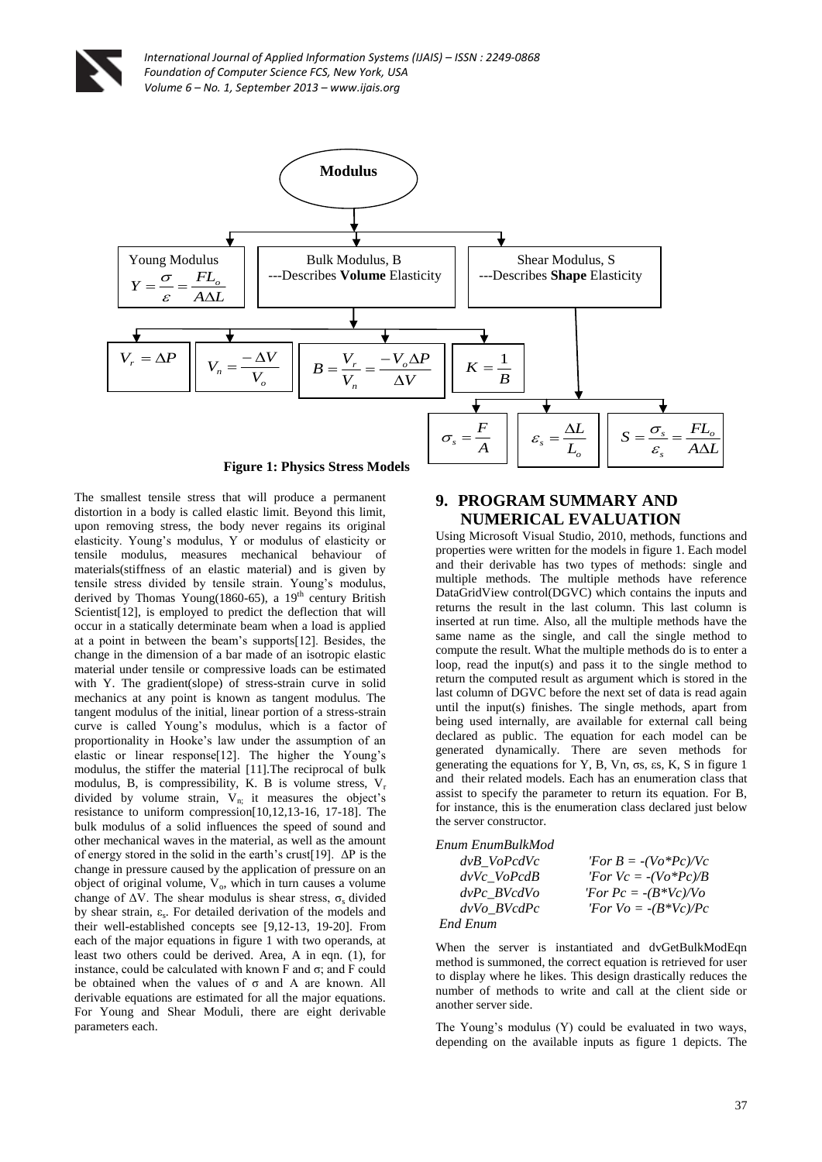

**Figure 1: Physics Stress Models**

The smallest tensile stress that will produce a permanent distortion in a body is called elastic limit. Beyond this limit, upon removing stress, the body never regains its original elasticity. Young's modulus, Y or modulus of elasticity or tensile modulus, measures mechanical behaviour of materials(stiffness of an elastic material) and is given by tensile stress divided by tensile strain. Young's modulus, derived by Thomas Young(1860-65), a  $19<sup>th</sup>$  century British Scientist<sup>[12]</sup>, is employed to predict the deflection that will occur in a statically determinate beam when a load is applied at a point in between the beam's supports[12]. Besides, the change in the dimension of a bar made of an isotropic elastic material under tensile or compressive loads can be estimated with Y. The gradient(slope) of stress-strain curve in solid mechanics at any point is known as tangent modulus. The tangent modulus of the initial, linear portion of a stress-strain curve is called Young's modulus, which is a factor of proportionality in Hooke's law under the assumption of an elastic or linear response[12]. The higher the Young's modulus, the stiffer the material [11].The reciprocal of bulk modulus, B, is compressibility, K. B is volume stress,  $V_r$ divided by volume strain,  $V_{n}$ ; it measures the object's resistance to uniform compression[10,12,13-16, 17-18]. The bulk modulus of a solid influences the speed of sound and other mechanical waves in the material, as well as the amount of energy stored in the solid in the earth's crust [19].  $\Delta P$  is the change in pressure caused by the application of pressure on an object of original volume,  $V_0$ , which in turn causes a volume change of  $\Delta V$ . The shear modulus is shear stress,  $\sigma_s$  divided by shear strain, ε<sub>s</sub>. For detailed derivation of the models and their well-established concepts see [9,12-13, 19-20]. From each of the major equations in figure 1 with two operands, at least two others could be derived. Area, A in eqn. (1), for instance, could be calculated with known F and  $\sigma$ ; and F could be obtained when the values of σ and A are known. All derivable equations are estimated for all the major equations. For Young and Shear Moduli, there are eight derivable parameters each.

## **9. PROGRAM SUMMARY AND NUMERICAL EVALUATION**

Using Microsoft Visual Studio, 2010, methods, functions and properties were written for the models in figure 1. Each model and their derivable has two types of methods: single and multiple methods. The multiple methods have reference DataGridView control(DGVC) which contains the inputs and returns the result in the last column. This last column is inserted at run time. Also, all the multiple methods have the same name as the single, and call the single method to compute the result. What the multiple methods do is to enter a loop, read the input(s) and pass it to the single method to return the computed result as argument which is stored in the last column of DGVC before the next set of data is read again until the input(s) finishes. The single methods, apart from being used internally, are available for external call being declared as public. The equation for each model can be generated dynamically. There are seven methods for generating the equations for Y, B, Vn, σs, εs, K, S in figure 1 and their related models. Each has an enumeration class that assist to specify the parameter to return its equation. For B, for instance, this is the enumeration class declared just below the server constructor.

| Enum EnumBulkMod |                               |
|------------------|-------------------------------|
| dvB VoPcdVc      | 'For $B = -(Vo*Pc)/Vc$        |
| $dvVc_VoPcdB$    | <i>'For Vc</i> = $-(Vo*Pc)/B$ |
| $dvPc$ BV $cdVo$ | 'For $Pc = -(B*Vc)/Vc$        |
| dvVo BVcdPc      | <i>'For Vo</i> = $-(B*Vc)/Pc$ |
| End Enum         |                               |

When the server is instantiated and dvGetBulkModEqn method is summoned, the correct equation is retrieved for user to display where he likes. This design drastically reduces the number of methods to write and call at the client side or another server side.

The Young's modulus (Y) could be evaluated in two ways, depending on the available inputs as figure 1 depicts. The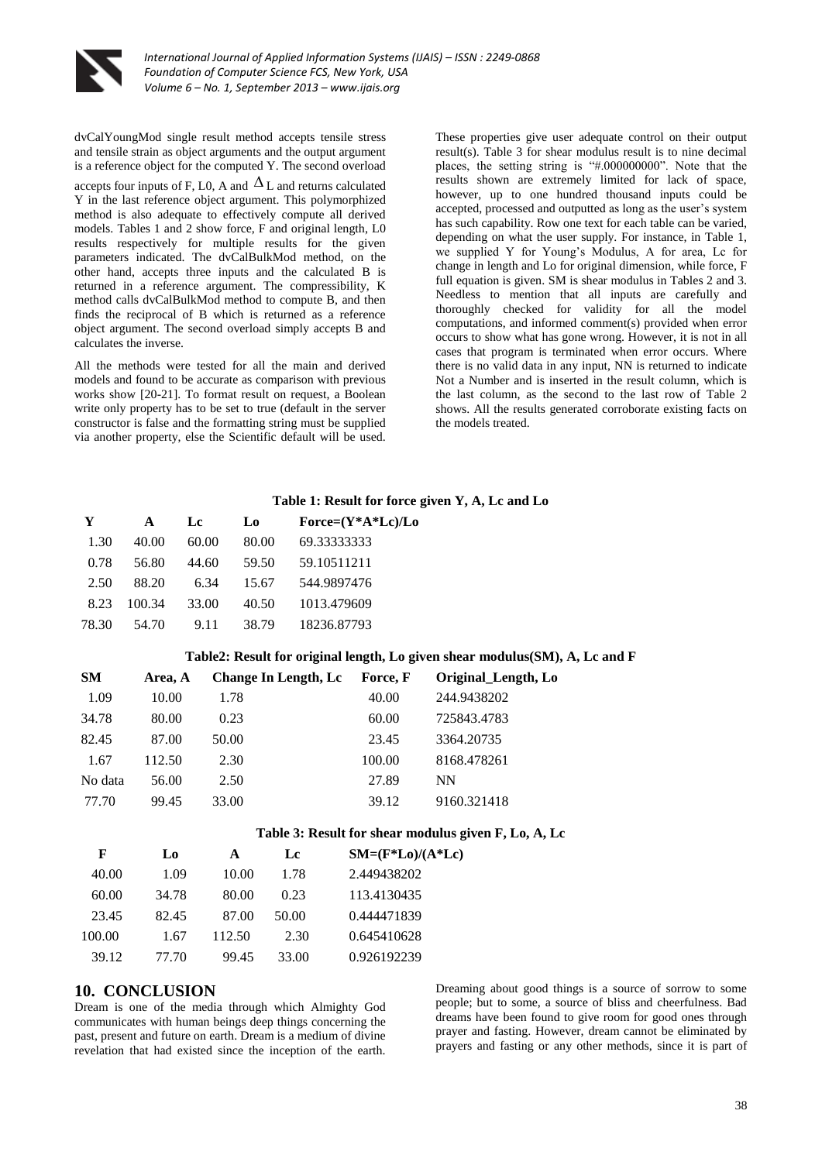

dvCalYoungMod single result method accepts tensile stress and tensile strain as object arguments and the output argument is a reference object for the computed Y. The second overload

accepts four inputs of F, L0, A and  $\Delta$  L and returns calculated Y in the last reference object argument. This polymorphized method is also adequate to effectively compute all derived models. Tables 1 and 2 show force, F and original length, L0 results respectively for multiple results for the given parameters indicated. The dvCalBulkMod method, on the other hand, accepts three inputs and the calculated B is returned in a reference argument. The compressibility, K method calls dvCalBulkMod method to compute B, and then finds the reciprocal of B which is returned as a reference object argument. The second overload simply accepts B and calculates the inverse.

All the methods were tested for all the main and derived models and found to be accurate as comparison with previous works show [20-21]. To format result on request, a Boolean write only property has to be set to true (default in the server constructor is false and the formatting string must be supplied via another property, else the Scientific default will be used.

These properties give user adequate control on their output result(s). Table 3 for shear modulus result is to nine decimal places, the setting string is "#.000000000". Note that the results shown are extremely limited for lack of space, however, up to one hundred thousand inputs could be accepted, processed and outputted as long as the user's system has such capability. Row one text for each table can be varied, depending on what the user supply. For instance, in Table 1, we supplied Y for Young's Modulus, A for area, Lc for change in length and Lo for original dimension, while force, F full equation is given. SM is shear modulus in Tables 2 and 3. Needless to mention that all inputs are carefully and thoroughly checked for validity for all the model computations, and informed comment(s) provided when error occurs to show what has gone wrong. However, it is not in all cases that program is terminated when error occurs. Where there is no valid data in any input, NN is returned to indicate Not a Number and is inserted in the result column, which is the last column, as the second to the last row of Table 2 shows. All the results generated corroborate existing facts on the models treated.

#### **Table 1: Result for force given Y, A, Lc and Lo**

| Y     | A      | Lc    | Lo    | $Force=(Y^*A^*Lc)/Lo$ |
|-------|--------|-------|-------|-----------------------|
| 1.30  | 40.00  | 60.00 | 80.00 | 69.33333333           |
| 0.78  | 56.80  | 44.60 | 59.50 | 59.10511211           |
| 2.50  | 88.20  | 6.34  | 15.67 | 544.9897476           |
| 8.23  | 100.34 | 33.00 | 40.50 | 1013.479609           |
| 78.30 | 54.70  | 9.11  | 38.79 | 18236.87793           |

#### **Table2: Result for original length, Lo given shear modulus(SM), A, Lc and F**

| <b>SM</b> | Area, A | Change In Length, Lc | Force, F | Original_Length, Lo |
|-----------|---------|----------------------|----------|---------------------|
| 1.09      | 10.00   | 1.78                 | 40.00    | 244.9438202         |
| 34.78     | 80.00   | 0.23                 | 60.00    | 725843.4783         |
| 82.45     | 87.00   | 50.00                | 23.45    | 3364.20735          |
| 1.67      | 112.50  | 2.30                 | 100.00   | 8168.478261         |
| No data   | 56.00   | 2.50                 | 27.89    | <b>NN</b>           |
| 77.70     | 99.45   | 33.00                | 39.12    | 9160.321418         |

#### **Table 3: Result for shear modulus given F, Lo, A, Lc**

| F      | Lo    | A      | Lc    | $SM=(F*Lo)/(A*Lc)$ |
|--------|-------|--------|-------|--------------------|
| 40.00  | 1.09  | 10.00  | 1.78  | 2.449438202        |
| 60.00  | 34.78 | 80.00  | 0.23  | 113.4130435        |
| 23.45  | 82.45 | 87.00  | 50.00 | 0.444471839        |
| 100.00 | 1.67  | 112.50 | 2.30  | 0.645410628        |
| 39.12  | 77.70 | 99.45  | 33.00 | 0.926192239        |

#### **10. CONCLUSION**

Dream is one of the media through which Almighty God communicates with human beings deep things concerning the past, present and future on earth. Dream is a medium of divine revelation that had existed since the inception of the earth.

Dreaming about good things is a source of sorrow to some people; but to some, a source of bliss and cheerfulness. Bad dreams have been found to give room for good ones through prayer and fasting. However, dream cannot be eliminated by prayers and fasting or any other methods, since it is part of